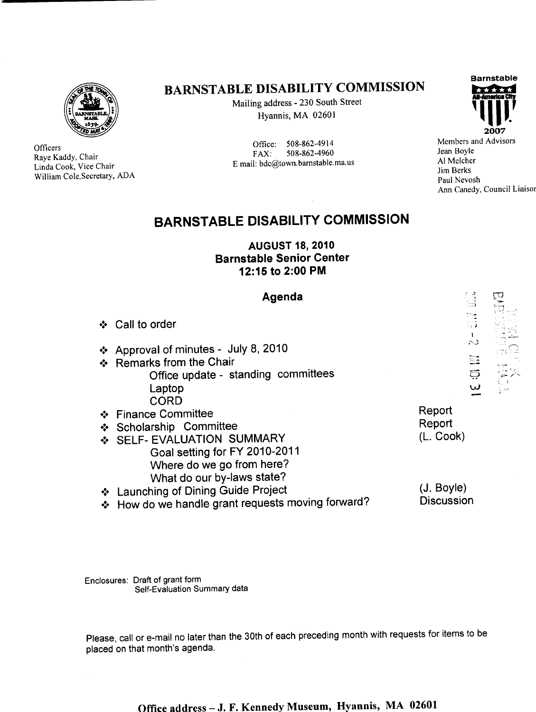

**Officers** Raye Kaddy, Chair Linda Cook, Vice Chair William Cole, Secretary, ADA

# BARNSTABLE DISABILITY COMMISSION

Mailing address - 230 South Street Hyannis, MA 02601

Office: 508-862-4914 FAX: 508-862-4960 E mail:  $bdc@town.barnstable$  ma.us



Members and Advisors Jean Boyle Al Melcher Jim Berks Paul Nevosh Ann Canedy, Council Liaisor

# BARNSTABLE DISABILITY COMMISSION

#### AUGUST 18 2010 Barnstable Senior Center 12:15 to 2:00 PM

| Agenda                                                                                                                                                 |                                 |
|--------------------------------------------------------------------------------------------------------------------------------------------------------|---------------------------------|
| ❖ Call to order                                                                                                                                        | ्रद                             |
| ❖ Approval of minutes - July 8, 2010<br>❖ Remarks from the Chair                                                                                       | N.<br>$\frac{1}{2}$             |
| Office update - standing committees<br>Laptop                                                                                                          | థ<br>س                          |
| CORD<br>❖ Finance Committee                                                                                                                            | Report<br>Report                |
| ❖ Scholarship Committee<br>SELF- EVALUATION SUMMARY<br>Goal setting for FY 2010-2011                                                                   | (L. Cook)                       |
| Where do we go from here?<br>What do our by-laws state?<br>❖ Launching of Dining Guide Project<br>How do we handle grant requests moving forward?<br>❖ | (J. Boyle)<br><b>Discussion</b> |

Enclosures: Draft of grant form Self-Evaluation Summary data

Please, call or e-mail no later than the 30th of each preceding month with requests for items to be placed on that month's agenda.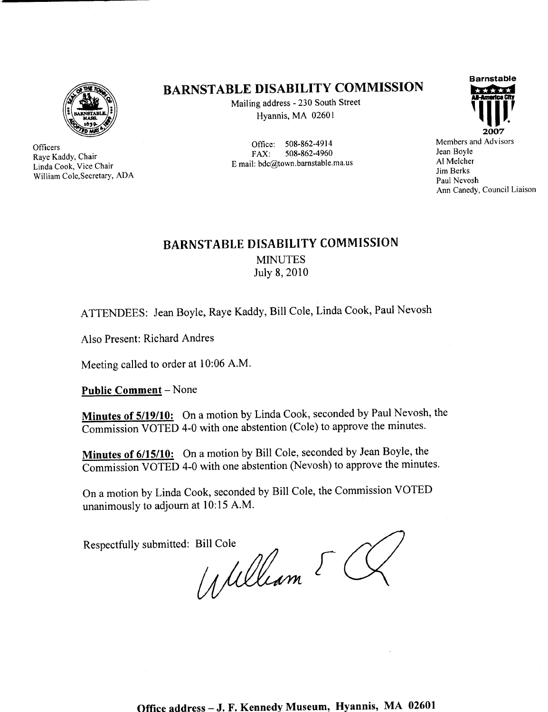

**Officers** Raye Kaddy, Chair Linda Cook, Vice Chair William Cole, Secretary, ADA BARNSTABLE DISABILITY COMMISSION

Mailing address - 230 South Street Hyannis, MA 02601

Office: 508-862-4914 FAX: 508-862-4960 E mail: bdc@town.barnstable.ma.us



Members and Advisors Jean Boyle Al Melcher Jim Berks Paul Nevosh Ann Canedy, Council Liaison

### BARNSTABLE DISABILITY COMMISSION **MINUTES** July 8, 2010

ATTENDEES: Jean Boyle, Raye Kaddy, Bill Cole, Linda Cook, Paul Nevosh

Also Present: Richard Andres

Meeting called to order at 10:06 A.M.

Public Comment – None

Minutes of 5/19/10: On a motion by Linda Cook, seconded by Paul Nevosh, the  $\overline{\text{Commission VOTED}}$  4-0 with one abstention (Cole) to approve the minutes.

Minutes of 6/15/10: On a motion by Bill Cole, seconded by Jean Boyle, the  $\overline{\text{Commission VOTED}}$  4-0 with one abstention (Nevosh) to approve the minutes.

On a motion by Linda Cook, seconded by Bill Cole, the Commission VOTED unanimously to adjourn at  $10:15$  A.M.

Respectfully submitted: Bill Cole

William EC

Office address - J. F. Kennedy Museum, Hyannis, MA 02601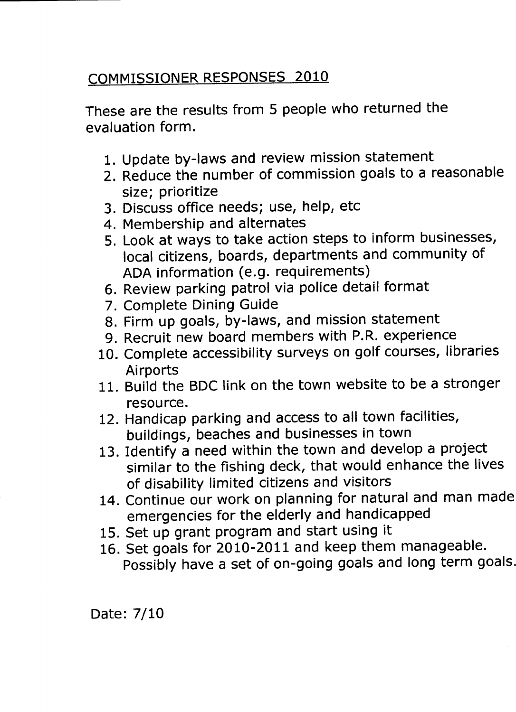## COMMISSIONER RESPONSES 2010

These are the results from <sup>5</sup> people who returned the evaluation form

- 1. Update by-laws and review mission statement
- 2. Reduce the number of commission goals to a reasonable size; prioritize
- 3. Discuss office needs; use, help, etc
- 4. Membership and alternates
- 5. Look at ways to take action steps to inform businesses, local citizens, boards, departments and community of ADA information (e.g. requirements)
- 6. Review parking patrol via police detail format
- 7. Complete Dining Guide
- 8. Firm up goals, by-laws, and mission statement
- 9. Recruit new board members with P.R. experience
- 10. Complete accessibility surveys on golf courses, libraries Airports
- 11. Build the BDC link on the town website to be a stronger resource
- 12. Handicap parking and access to all town facilities, buildings, beaches and businesses in town
- 13. Identify a need within the town and develop a project similar to the fishing deck, that would enhance the lives of disability limited citizens and visitors
- 14 Continue our work on planning for natural and man made emergencies for the elderly and handicapped
- 15. Set up grant program and start using it
- 16. Set goals for 2010-2011 and keep them manageable. Possibly have a set of on-going goals and long term goals.

Date: 7/10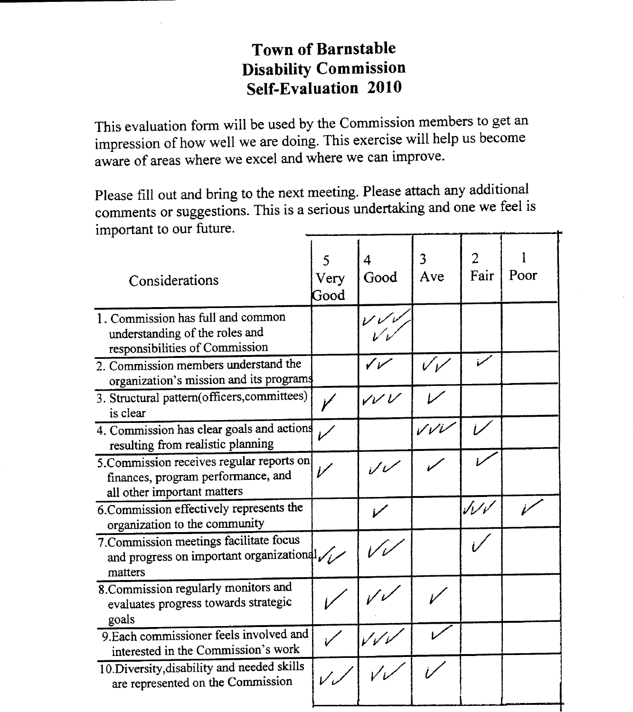### Town of Barnstable Disability Commission Self-Evaluation 2010

This evaluation form will be used by the Commission members to get an impression of how well we are doing. This exercise will help us become aware of areas where we excel and where we can improve

Please fill out and bring to the next meeting. Please attach any additional comments or suggestions. This is a serious undertaking and one we feel is important to our future

| Considerations                                                                                                 | Very<br>Good | Good   | 3<br>Ave         | Fair | Poor |
|----------------------------------------------------------------------------------------------------------------|--------------|--------|------------------|------|------|
| 1. Commission has full and common<br>understanding of the roles and<br>responsibilities of Commission          |              |        |                  |      |      |
| 2. Commission members understand the<br>organization's mission and its programs                                |              |        |                  |      |      |
| 3. Structural pattern(officers,committees)<br>is clear                                                         |              | ンレレ    |                  |      |      |
| 4. Commission has clear goals and actions<br>resulting from realistic planning                                 |              |        | $V\mathcal{V}$ i |      |      |
| 5. Commission receives regular reports on<br>finances, program performance, and<br>all other important matters |              | را کرد |                  |      |      |
| 6. Commission effectively represents the<br>organization to the community                                      |              |        |                  | SIV  |      |
| 7. Commission meetings facilitate focus<br>and progress on important organizational $\sqrt{N}$<br>matters      |              |        |                  |      |      |
| 8. Commission regularly monitors and<br>evaluates progress towards strategic<br>goals                          |              |        |                  |      |      |
| 9. Each commissioner feels involved and<br>interested in the Commission's work                                 |              |        |                  |      |      |
| 10. Diversity, disability and needed skills<br>are represented on the Commission                               |              |        |                  |      |      |
|                                                                                                                |              |        |                  |      |      |